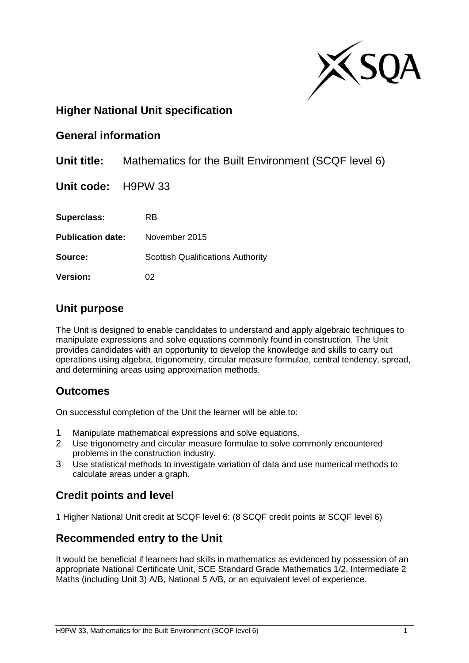

# **Higher National Unit specification**

### **General information**

**Unit title:** Mathematics for the Built Environment (SCQF level 6)

**Unit code:** H9PW 33

**Superclass:** RB **Publication date:** November 2015 **Source:** Scottish Qualifications Authority

**Version:** 02

### **Unit purpose**

The Unit is designed to enable candidates to understand and apply algebraic techniques to manipulate expressions and solve equations commonly found in construction. The Unit provides candidates with an opportunity to develop the knowledge and skills to carry out operations using algebra, trigonometry, circular measure formulae, central tendency, spread, and determining areas using approximation methods.

# **Outcomes**

On successful completion of the Unit the learner will be able to:

- 1 Manipulate mathematical expressions and solve equations.
- 2 Use trigonometry and circular measure formulae to solve commonly encountered problems in the construction industry.
- 3 Use statistical methods to investigate variation of data and use numerical methods to calculate areas under a graph.

# **Credit points and level**

1 Higher National Unit credit at SCQF level 6: (8 SCQF credit points at SCQF level 6)

# **Recommended entry to the Unit**

It would be beneficial if learners had skills in mathematics as evidenced by possession of an appropriate National Certificate Unit, SCE Standard Grade Mathematics 1/2, Intermediate 2 Maths (including Unit 3) A/B, National 5 A/B, or an equivalent level of experience.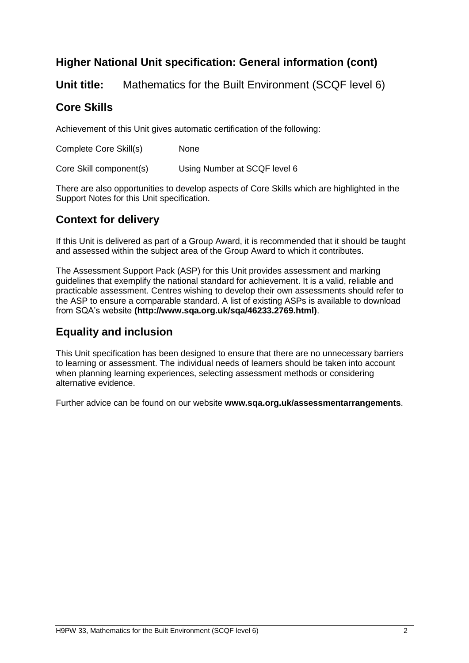# **Higher National Unit specification: General information (cont)**

**Unit title:** Mathematics for the Built Environment (SCQF level 6)

# **Core Skills**

Achievement of this Unit gives automatic certification of the following:

Complete Core Skill(s) None

Core Skill component(s) Using Number at SCQF level 6

There are also opportunities to develop aspects of Core Skills which are highlighted in the Support Notes for this Unit specification.

# **Context for delivery**

If this Unit is delivered as part of a Group Award, it is recommended that it should be taught and assessed within the subject area of the Group Award to which it contributes.

The Assessment Support Pack (ASP) for this Unit provides assessment and marking guidelines that exemplify the national standard for achievement. It is a valid, reliable and practicable assessment. Centres wishing to develop their own assessments should refer to the ASP to ensure a comparable standard. A list of existing ASPs is available to download from SQA's website **[\(http://www.sqa.org.uk/sqa/46233.2769.html\)](http://www.sqa.org.uk/sqa/46233.2769.html)**.

# **Equality and inclusion**

This Unit specification has been designed to ensure that there are no unnecessary barriers to learning or assessment. The individual needs of learners should be taken into account when planning learning experiences, selecting assessment methods or considering alternative evidence.

Further advice can be found on our website **[www.sqa.org.uk/assessmentarrangements](http://www.sqa.org.uk/assessmentarrangements)**.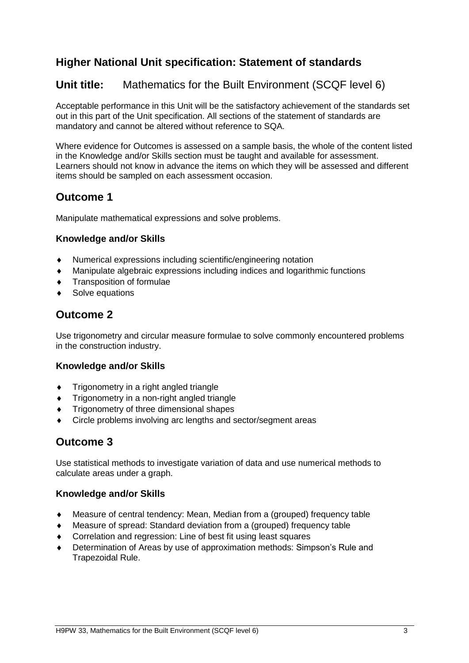# **Higher National Unit specification: Statement of standards**

# **Unit title:** Mathematics for the Built Environment (SCQF level 6)

Acceptable performance in this Unit will be the satisfactory achievement of the standards set out in this part of the Unit specification. All sections of the statement of standards are mandatory and cannot be altered without reference to SQA.

Where evidence for Outcomes is assessed on a sample basis, the whole of the content listed in the Knowledge and/or Skills section must be taught and available for assessment. Learners should not know in advance the items on which they will be assessed and different items should be sampled on each assessment occasion.

# **Outcome 1**

Manipulate mathematical expressions and solve problems.

### **Knowledge and/or Skills**

- Numerical expressions including scientific/engineering notation
- Manipulate algebraic expressions including indices and logarithmic functions
- Transposition of formulae
- ◆ Solve equations

# **Outcome 2**

Use trigonometry and circular measure formulae to solve commonly encountered problems in the construction industry.

### **Knowledge and/or Skills**

- **Trigonometry in a right angled triangle**
- Trigonometry in a non-right angled triangle
- Trigonometry of three dimensional shapes
- Circle problems involving arc lengths and sector/segment areas

# **Outcome 3**

Use statistical methods to investigate variation of data and use numerical methods to calculate areas under a graph.

### **Knowledge and/or Skills**

- Measure of central tendency: Mean, Median from a (grouped) frequency table
- Measure of spread: Standard deviation from a (grouped) frequency table
- Correlation and regression: Line of best fit using least squares
- Determination of Areas by use of approximation methods: Simpson's Rule and Trapezoidal Rule.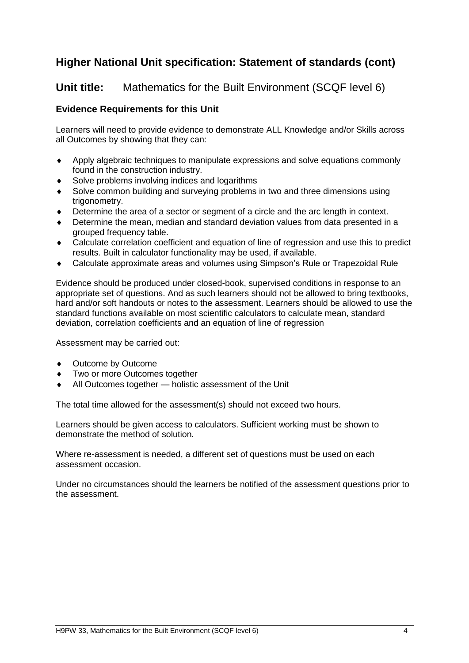# **Higher National Unit specification: Statement of standards (cont)**

### **Unit title:** Mathematics for the Built Environment (SCQF level 6)

### **Evidence Requirements for this Unit**

Learners will need to provide evidence to demonstrate ALL Knowledge and/or Skills across all Outcomes by showing that they can:

- Apply algebraic techniques to manipulate expressions and solve equations commonly found in the construction industry.
- Solve problems involving indices and logarithms
- Solve common building and surveying problems in two and three dimensions using trigonometry.
- Determine the area of a sector or segment of a circle and the arc length in context.
- Determine the mean, median and standard deviation values from data presented in a grouped frequency table.
- Calculate correlation coefficient and equation of line of regression and use this to predict results. Built in calculator functionality may be used, if available.
- Calculate approximate areas and volumes using Simpson's Rule or Trapezoidal Rule

Evidence should be produced under closed-book, supervised conditions in response to an appropriate set of questions. And as such learners should not be allowed to bring textbooks, hard and/or soft handouts or notes to the assessment. Learners should be allowed to use the standard functions available on most scientific calculators to calculate mean, standard deviation, correlation coefficients and an equation of line of regression

Assessment may be carried out:

- Outcome by Outcome
- Two or more Outcomes together
- All Outcomes together holistic assessment of the Unit

The total time allowed for the assessment(s) should not exceed two hours.

Learners should be given access to calculators. Sufficient working must be shown to demonstrate the method of solution.

Where re-assessment is needed, a different set of questions must be used on each assessment occasion.

Under no circumstances should the learners be notified of the assessment questions prior to the assessment.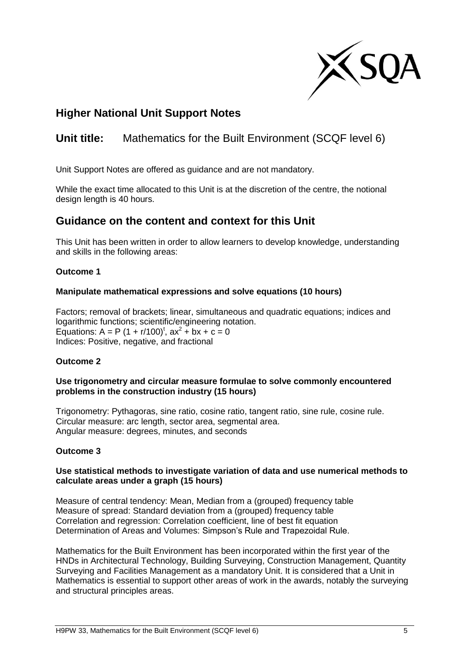

# **Higher National Unit Support Notes**

# **Unit title:** Mathematics for the Built Environment (SCQF level 6)

Unit Support Notes are offered as guidance and are not mandatory.

While the exact time allocated to this Unit is at the discretion of the centre, the notional design length is 40 hours.

### **Guidance on the content and context for this Unit**

This Unit has been written in order to allow learners to develop knowledge, understanding and skills in the following areas:

#### **Outcome 1**

#### **Manipulate mathematical expressions and solve equations (10 hours)**

Factors; removal of brackets; linear, simultaneous and quadratic equations; indices and logarithmic functions; scientific/engineering notation. Equations:  $A = P (1 + r/100)^t$ ,  $ax^2 + bx + c = 0$ Indices: Positive, negative, and fractional

### **Outcome 2**

#### **Use trigonometry and circular measure formulae to solve commonly encountered problems in the construction industry (15 hours)**

Trigonometry: Pythagoras, sine ratio, cosine ratio, tangent ratio, sine rule, cosine rule. Circular measure: arc length, sector area, segmental area. Angular measure: degrees, minutes, and seconds

#### **Outcome 3**

#### **Use statistical methods to investigate variation of data and use numerical methods to calculate areas under a graph (15 hours)**

Measure of central tendency: Mean, Median from a (grouped) frequency table Measure of spread: Standard deviation from a (grouped) frequency table Correlation and regression: Correlation coefficient, line of best fit equation Determination of Areas and Volumes: Simpson's Rule and Trapezoidal Rule.

Mathematics for the Built Environment has been incorporated within the first year of the HNDs in Architectural Technology, Building Surveying, Construction Management, Quantity Surveying and Facilities Management as a mandatory Unit. It is considered that a Unit in Mathematics is essential to support other areas of work in the awards, notably the surveying and structural principles areas.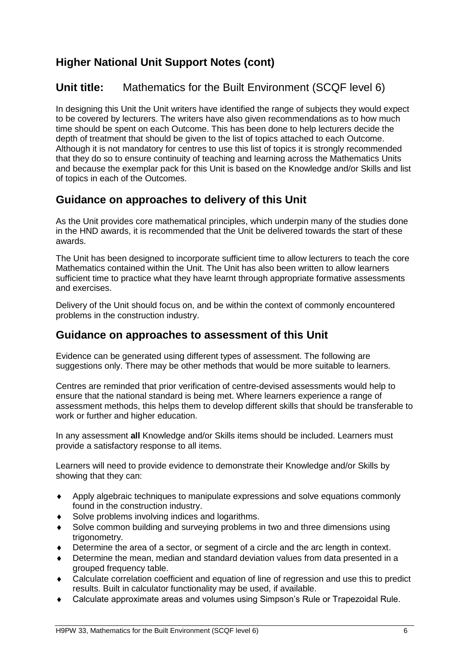# **Higher National Unit Support Notes (cont)**

# **Unit title:** Mathematics for the Built Environment (SCQF level 6)

In designing this Unit the Unit writers have identified the range of subjects they would expect to be covered by lecturers. The writers have also given recommendations as to how much time should be spent on each Outcome. This has been done to help lecturers decide the depth of treatment that should be given to the list of topics attached to each Outcome. Although it is not mandatory for centres to use this list of topics it is strongly recommended that they do so to ensure continuity of teaching and learning across the Mathematics Units and because the exemplar pack for this Unit is based on the Knowledge and/or Skills and list of topics in each of the Outcomes.

# **Guidance on approaches to delivery of this Unit**

As the Unit provides core mathematical principles, which underpin many of the studies done in the HND awards, it is recommended that the Unit be delivered towards the start of these awards.

The Unit has been designed to incorporate sufficient time to allow lecturers to teach the core Mathematics contained within the Unit. The Unit has also been written to allow learners sufficient time to practice what they have learnt through appropriate formative assessments and exercises.

Delivery of the Unit should focus on, and be within the context of commonly encountered problems in the construction industry.

## **Guidance on approaches to assessment of this Unit**

Evidence can be generated using different types of assessment. The following are suggestions only. There may be other methods that would be more suitable to learners.

Centres are reminded that prior verification of centre-devised assessments would help to ensure that the national standard is being met. Where learners experience a range of assessment methods, this helps them to develop different skills that should be transferable to work or further and higher education.

In any assessment **all** Knowledge and/or Skills items should be included. Learners must provide a satisfactory response to all items.

Learners will need to provide evidence to demonstrate their Knowledge and/or Skills by showing that they can:

- Apply algebraic techniques to manipulate expressions and solve equations commonly found in the construction industry.
- ◆ Solve problems involving indices and logarithms.
- Solve common building and surveying problems in two and three dimensions using trigonometry.
- Determine the area of a sector, or segment of a circle and the arc length in context.
- Determine the mean, median and standard deviation values from data presented in a grouped frequency table.
- Calculate correlation coefficient and equation of line of regression and use this to predict results. Built in calculator functionality may be used, if available.
- Calculate approximate areas and volumes using Simpson's Rule or Trapezoidal Rule.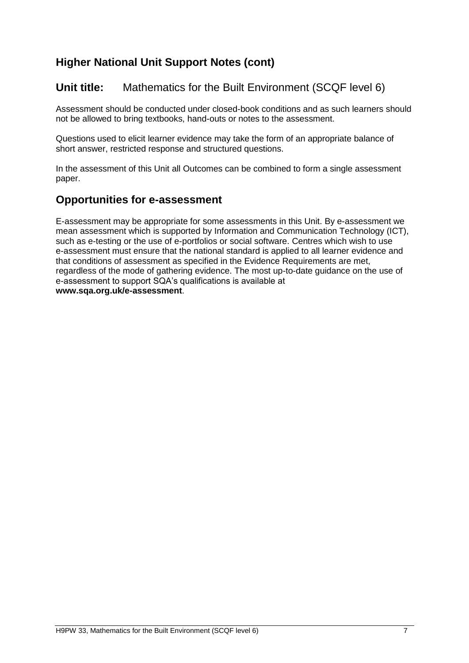# **Higher National Unit Support Notes (cont)**

# **Unit title:** Mathematics for the Built Environment (SCQF level 6)

Assessment should be conducted under closed-book conditions and as such learners should not be allowed to bring textbooks, hand-outs or notes to the assessment.

Questions used to elicit learner evidence may take the form of an appropriate balance of short answer, restricted response and structured questions.

In the assessment of this Unit all Outcomes can be combined to form a single assessment paper.

### **Opportunities for e-assessment**

E-assessment may be appropriate for some assessments in this Unit. By e-assessment we mean assessment which is supported by Information and Communication Technology (ICT), such as e-testing or the use of e-portfolios or social software. Centres which wish to use e-assessment must ensure that the national standard is applied to all learner evidence and that conditions of assessment as specified in the Evidence Requirements are met, regardless of the mode of gathering evidence. The most up-to-date guidance on the use of e-assessment to support SQA's qualifications is available at **www.sqa.org.uk/e-assessment**.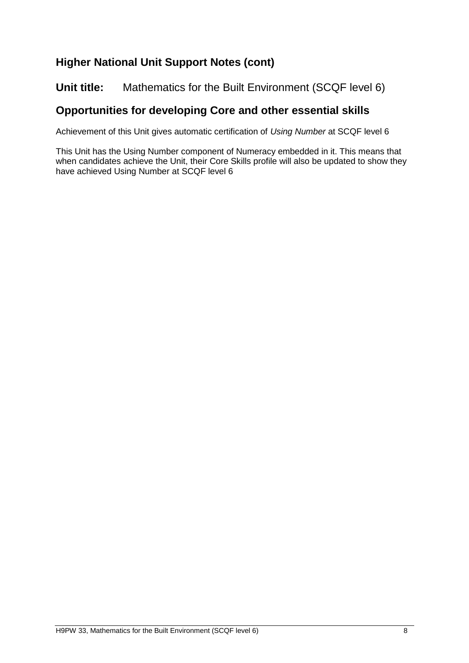# **Higher National Unit Support Notes (cont)**

### **Unit title:** Mathematics for the Built Environment (SCQF level 6)

# **Opportunities for developing Core and other essential skills**

Achievement of this Unit gives automatic certification of *Using Number* at SCQF level 6

This Unit has the Using Number component of Numeracy embedded in it. This means that when candidates achieve the Unit, their Core Skills profile will also be updated to show they have achieved Using Number at SCQF level 6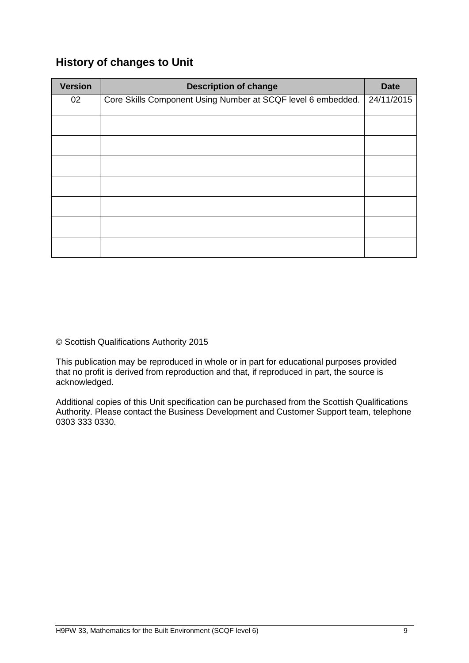# **History of changes to Unit**

| <b>Version</b> | <b>Description of change</b>                                 | <b>Date</b> |
|----------------|--------------------------------------------------------------|-------------|
| 02             | Core Skills Component Using Number at SCQF level 6 embedded. | 24/11/2015  |
|                |                                                              |             |
|                |                                                              |             |
|                |                                                              |             |
|                |                                                              |             |
|                |                                                              |             |
|                |                                                              |             |
|                |                                                              |             |
|                |                                                              |             |

© Scottish Qualifications Authority 2015

This publication may be reproduced in whole or in part for educational purposes provided that no profit is derived from reproduction and that, if reproduced in part, the source is acknowledged.

Additional copies of this Unit specification can be purchased from the Scottish Qualifications Authority. Please contact the Business Development and Customer Support team, telephone 0303 333 0330.